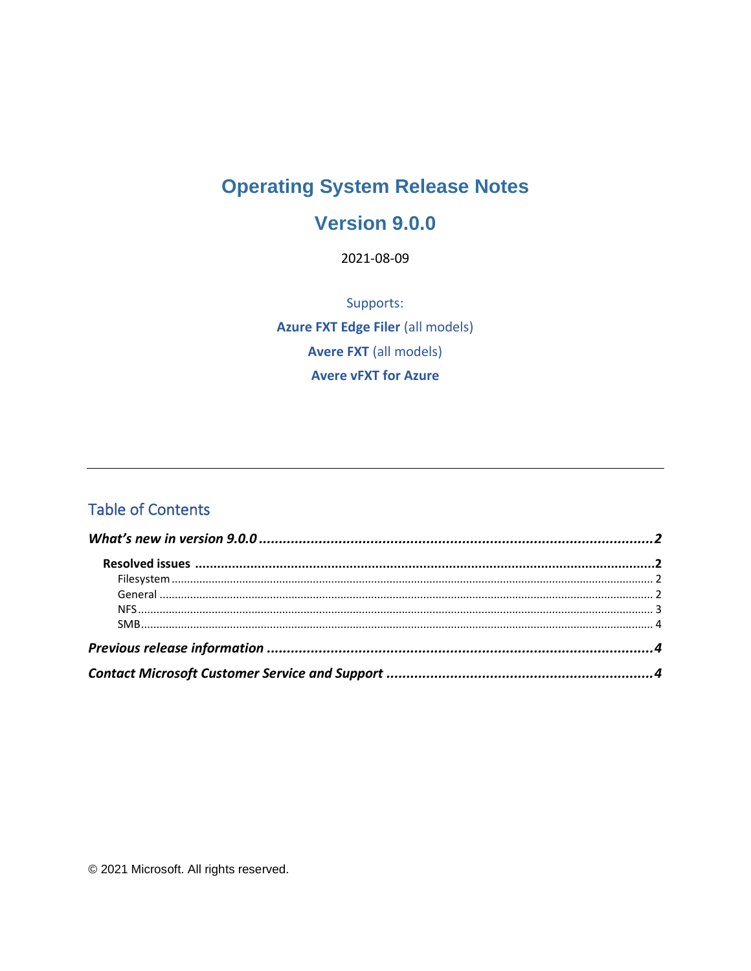# **Operating System Release Notes**

## **Version 9.0.0**

2021-08-09

Supports: **Azure FXT Edge Filer (all models) Avere FXT** (all models) **Avere vFXT for Azure** 

## **Table of Contents**

© 2021 Microsoft. All rights reserved.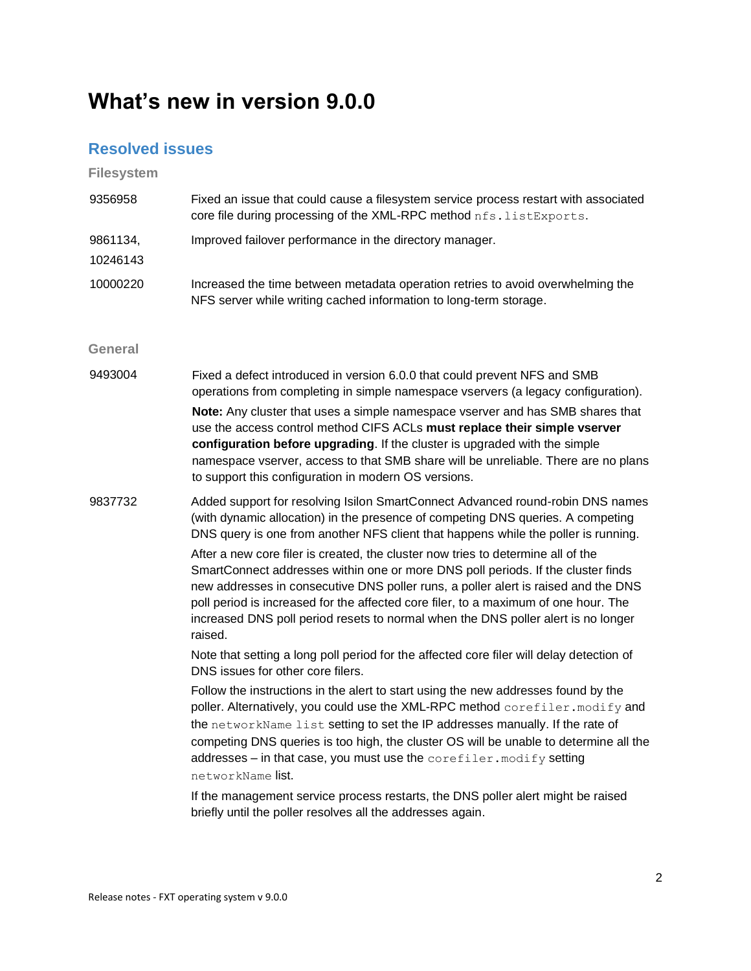# <span id="page-1-0"></span>**What's new in version 9.0.0**

### <span id="page-1-1"></span>**Resolved issues**

<span id="page-1-2"></span>**Filesystem**

<span id="page-1-3"></span>

| 9356958              | Fixed an issue that could cause a filesystem service process restart with associated<br>core file during processing of the XML-RPC method nfs. listExports.                                                                                                                                                                                                                                                                                                                                                                                                                                                                                                                                                                                                                                                                                                                                                                                                                                                                                                                                                                                                                                                                                                                                                                                                                     |
|----------------------|---------------------------------------------------------------------------------------------------------------------------------------------------------------------------------------------------------------------------------------------------------------------------------------------------------------------------------------------------------------------------------------------------------------------------------------------------------------------------------------------------------------------------------------------------------------------------------------------------------------------------------------------------------------------------------------------------------------------------------------------------------------------------------------------------------------------------------------------------------------------------------------------------------------------------------------------------------------------------------------------------------------------------------------------------------------------------------------------------------------------------------------------------------------------------------------------------------------------------------------------------------------------------------------------------------------------------------------------------------------------------------|
| 9861134,<br>10246143 | Improved failover performance in the directory manager.                                                                                                                                                                                                                                                                                                                                                                                                                                                                                                                                                                                                                                                                                                                                                                                                                                                                                                                                                                                                                                                                                                                                                                                                                                                                                                                         |
| 10000220             | Increased the time between metadata operation retries to avoid overwhelming the<br>NFS server while writing cached information to long-term storage.                                                                                                                                                                                                                                                                                                                                                                                                                                                                                                                                                                                                                                                                                                                                                                                                                                                                                                                                                                                                                                                                                                                                                                                                                            |
| General              |                                                                                                                                                                                                                                                                                                                                                                                                                                                                                                                                                                                                                                                                                                                                                                                                                                                                                                                                                                                                                                                                                                                                                                                                                                                                                                                                                                                 |
| 9493004              | Fixed a defect introduced in version 6.0.0 that could prevent NFS and SMB<br>operations from completing in simple namespace vservers (a legacy configuration).<br>Note: Any cluster that uses a simple namespace vserver and has SMB shares that<br>use the access control method CIFS ACLs must replace their simple vserver<br>configuration before upgrading. If the cluster is upgraded with the simple<br>namespace vserver, access to that SMB share will be unreliable. There are no plans<br>to support this configuration in modern OS versions.                                                                                                                                                                                                                                                                                                                                                                                                                                                                                                                                                                                                                                                                                                                                                                                                                       |
| 9837732              | Added support for resolving Isilon SmartConnect Advanced round-robin DNS names<br>(with dynamic allocation) in the presence of competing DNS queries. A competing<br>DNS query is one from another NFS client that happens while the poller is running.<br>After a new core filer is created, the cluster now tries to determine all of the<br>SmartConnect addresses within one or more DNS poll periods. If the cluster finds<br>new addresses in consecutive DNS poller runs, a poller alert is raised and the DNS<br>poll period is increased for the affected core filer, to a maximum of one hour. The<br>increased DNS poll period resets to normal when the DNS poller alert is no longer<br>raised.<br>Note that setting a long poll period for the affected core filer will delay detection of<br>DNS issues for other core filers.<br>Follow the instructions in the alert to start using the new addresses found by the<br>poller. Alternatively, you could use the XML-RPC method corefiler. modify and<br>the networkName list setting to set the IP addresses manually. If the rate of<br>competing DNS queries is too high, the cluster OS will be unable to determine all the<br>addresses - in that case, you must use the corefiler. modify setting<br>networkName list.<br>If the management service process restarts, the DNS poller alert might be raised |
|                      | briefly until the poller resolves all the addresses again.                                                                                                                                                                                                                                                                                                                                                                                                                                                                                                                                                                                                                                                                                                                                                                                                                                                                                                                                                                                                                                                                                                                                                                                                                                                                                                                      |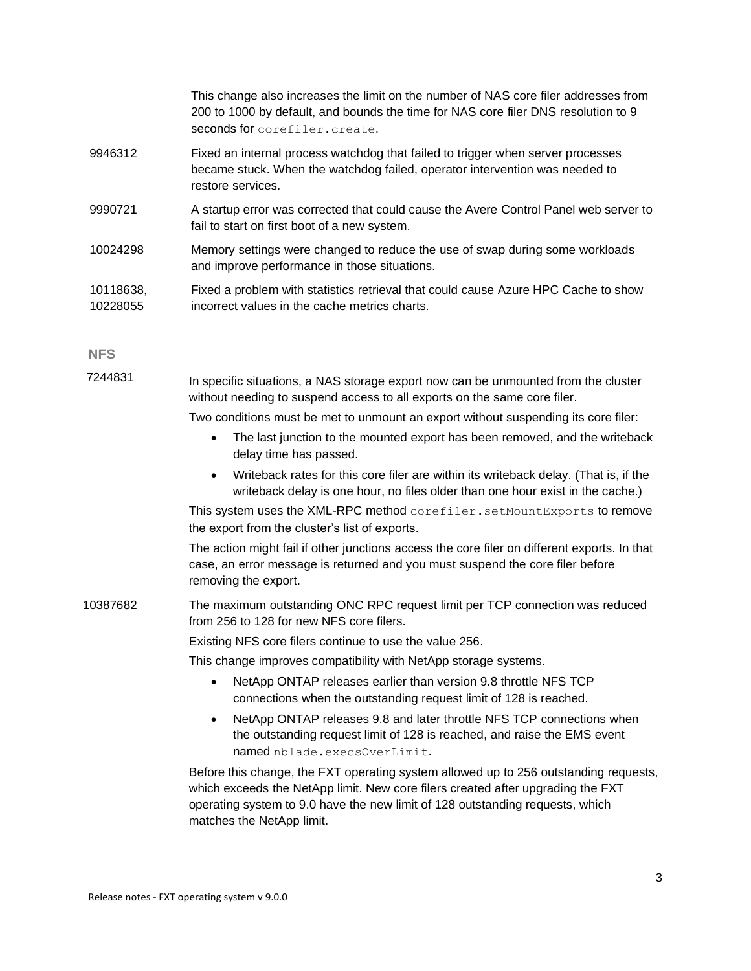|                       | This change also increases the limit on the number of NAS core filer addresses from<br>200 to 1000 by default, and bounds the time for NAS core filer DNS resolution to 9<br>seconds for corefiler.create. |
|-----------------------|------------------------------------------------------------------------------------------------------------------------------------------------------------------------------------------------------------|
| 9946312               | Fixed an internal process watchdog that failed to trigger when server processes<br>became stuck. When the watchdog failed, operator intervention was needed to<br>restore services.                        |
| 9990721               | A startup error was corrected that could cause the Avere Control Panel web server to<br>fail to start on first boot of a new system.                                                                       |
| 10024298              | Memory settings were changed to reduce the use of swap during some workloads<br>and improve performance in those situations.                                                                               |
| 10118638,<br>10228055 | Fixed a problem with statistics retrieval that could cause Azure HPC Cache to show<br>incorrect values in the cache metrics charts.                                                                        |

#### <span id="page-2-0"></span>**NFS**

7244831 In specific situations, a NAS storage export now can be unmounted from the cluster without needing to suspend access to all exports on the same core filer.

Two conditions must be met to unmount an export without suspending its core filer:

- The last junction to the mounted export has been removed, and the writeback delay time has passed.
- Writeback rates for this core filer are within its writeback delay. (That is, if the writeback delay is one hour, no files older than one hour exist in the cache.)

This system uses the XML-RPC method corefiler.setMountExports to remove the export from the cluster's list of exports.

The action might fail if other junctions access the core filer on different exports. In that case, an error message is returned and you must suspend the core filer before removing the export.

10387682 The maximum outstanding ONC RPC request limit per TCP connection was reduced from 256 to 128 for new NFS core filers.

Existing NFS core filers continue to use the value 256.

This change improves compatibility with NetApp storage systems.

- NetApp ONTAP releases earlier than version 9.8 throttle NFS TCP connections when the outstanding request limit of 128 is reached.
- NetApp ONTAP releases 9.8 and later throttle NFS TCP connections when the outstanding request limit of 128 is reached, and raise the EMS event named nblade.execsOverLimit.

Before this change, the FXT operating system allowed up to 256 outstanding requests, which exceeds the NetApp limit. New core filers created after upgrading the FXT operating system to 9.0 have the new limit of 128 outstanding requests, which matches the NetApp limit.